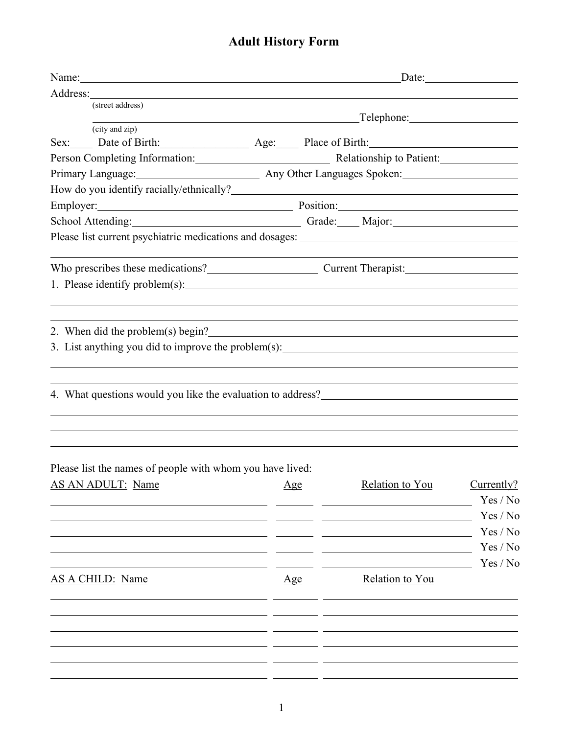## **Adult History Form**

| Name: Name:                                                 | Date:                                                                         |                            |          |
|-------------------------------------------------------------|-------------------------------------------------------------------------------|----------------------------|----------|
|                                                             |                                                                               |                            |          |
| (street address)                                            |                                                                               |                            |          |
| (city and zip)                                              | <u> 1989 - Johann Barn, mars eta bainar eta i</u>                             |                            |          |
| Sex: Date of Birth: Age: Place of Birth:                    |                                                                               |                            |          |
|                                                             | Person Completing Information: Relationship to Patient: Material Service 2014 |                            |          |
|                                                             |                                                                               |                            |          |
|                                                             |                                                                               |                            |          |
| Employer: Position: Position:                               |                                                                               |                            |          |
| School Attending: Crade: Major: Major:                      |                                                                               |                            |          |
|                                                             |                                                                               |                            |          |
| Who prescribes these medications?<br>Current Therapist:     |                                                                               |                            |          |
|                                                             |                                                                               |                            |          |
| 2. When did the problem(s) begin?                           |                                                                               |                            |          |
| 4. What questions would you like the evaluation to address? |                                                                               |                            |          |
| Please list the names of people with whom you have lived:   |                                                                               |                            |          |
| AS AN ADULT: Name Age                                       |                                                                               | Relation to You Currently? |          |
|                                                             |                                                                               |                            | Yes / No |
|                                                             |                                                                               |                            | Yes / No |
|                                                             |                                                                               |                            | Yes / No |
|                                                             |                                                                               |                            | Yes / No |
|                                                             |                                                                               |                            | Yes / No |
| <b>AS A CHILD: Name</b>                                     | $\mathbf{Age}$                                                                | Relation to You            |          |
|                                                             |                                                                               |                            |          |
|                                                             |                                                                               |                            |          |
|                                                             |                                                                               |                            |          |
|                                                             |                                                                               |                            |          |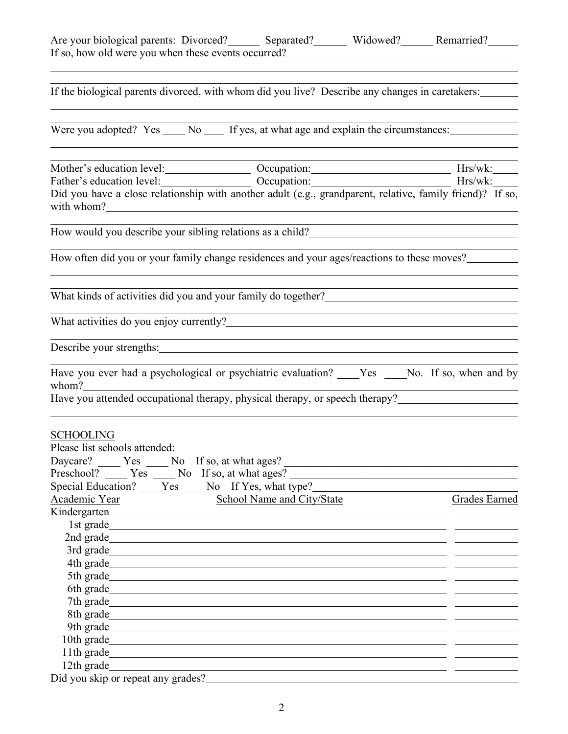| Are your biological parents: Divorced? Separated? Widowed? Memarried? Memarried? Memarried? Memarried? Memarried? Memarried? Memarried? Memarried? Memarried? Memarried? Memarried? Memarried? Memarried? Memarried? Memarried<br>If so, how old were you when these events occurred?                            |                                   |                                                                                                                        |               |
|------------------------------------------------------------------------------------------------------------------------------------------------------------------------------------------------------------------------------------------------------------------------------------------------------------------|-----------------------------------|------------------------------------------------------------------------------------------------------------------------|---------------|
|                                                                                                                                                                                                                                                                                                                  |                                   |                                                                                                                        |               |
| If the biological parents divorced, with whom did you live? Describe any changes in caretakers:                                                                                                                                                                                                                  |                                   |                                                                                                                        |               |
| Were you adopted? Yes _____ No _____ If yes, at what age and explain the circumstances: ____________                                                                                                                                                                                                             |                                   |                                                                                                                        |               |
|                                                                                                                                                                                                                                                                                                                  |                                   |                                                                                                                        |               |
| Did you have a close relationship with another adult (e.g., grandparent, relative, family friend)? If so,                                                                                                                                                                                                        |                                   |                                                                                                                        |               |
| How would you describe your sibling relations as a child?<br><u>Letting</u> the state of the state of the state of the state of the state of the state of the state of the state of the state of the state of the state of the state                                                                             |                                   |                                                                                                                        |               |
| How often did you or your family change residences and your ages/reactions to these moves?                                                                                                                                                                                                                       |                                   |                                                                                                                        |               |
| What kinds of activities did you and your family do together?<br><u>Letter</u> 2008                                                                                                                                                                                                                              |                                   |                                                                                                                        |               |
|                                                                                                                                                                                                                                                                                                                  |                                   |                                                                                                                        |               |
|                                                                                                                                                                                                                                                                                                                  |                                   | <u> 1989 - Johann Barn, mars ann an t-Amhain ann an t-Amhain ann an t-Amhain ann an t-Amhain an t-Amhain ann an t-</u> |               |
| Have you ever had a psychological or psychiatric evaluation? ____Yes ____No. If so, when and by                                                                                                                                                                                                                  |                                   |                                                                                                                        |               |
|                                                                                                                                                                                                                                                                                                                  |                                   |                                                                                                                        |               |
| <b>SCHOOLING</b><br>Please list schools attended:<br>Daycare? _______ Yes ______ No If so, at what ages? _____________________________<br>Preschool? _____ Yes _____ No If so, at what ages? ______________________________<br>Special Education? ____Yes ____No If Yes, what type?_____________________________ |                                   |                                                                                                                        |               |
| Academic Year                                                                                                                                                                                                                                                                                                    | <b>School Name and City/State</b> |                                                                                                                        | Grades Earned |
| Kindergarten eta alderdizio eta alderdizio eta alderdizio eta alderdizio eta alderdizio eta alderdizio eta alderdizio eta alderdizio eta alderdizio eta alderdizio eta alderdizio eta alderdizio eta alderdizio eta alderdizio                                                                                   |                                   |                                                                                                                        |               |
|                                                                                                                                                                                                                                                                                                                  |                                   |                                                                                                                        |               |
|                                                                                                                                                                                                                                                                                                                  |                                   |                                                                                                                        |               |
|                                                                                                                                                                                                                                                                                                                  |                                   |                                                                                                                        |               |
|                                                                                                                                                                                                                                                                                                                  |                                   |                                                                                                                        |               |
|                                                                                                                                                                                                                                                                                                                  |                                   |                                                                                                                        |               |
| 7th grade<br>8th grade <u>the contract of the contract of the contract of the contract of the contract of the contract of the contract of the contract of the contract of the contract of the contract of the contract of the contract of the</u>                                                                |                                   |                                                                                                                        |               |
|                                                                                                                                                                                                                                                                                                                  |                                   |                                                                                                                        |               |
| 10th grade                                                                                                                                                                                                                                                                                                       |                                   |                                                                                                                        |               |
|                                                                                                                                                                                                                                                                                                                  |                                   |                                                                                                                        |               |
|                                                                                                                                                                                                                                                                                                                  |                                   |                                                                                                                        |               |
| 12th grade and the state of the state of the state of the state of the state of the state of the state of the state of the state of the state of the state of the state of the state of the state of the state of the state of<br>Did you skip or repeat any grades?                                             |                                   |                                                                                                                        |               |
|                                                                                                                                                                                                                                                                                                                  |                                   |                                                                                                                        |               |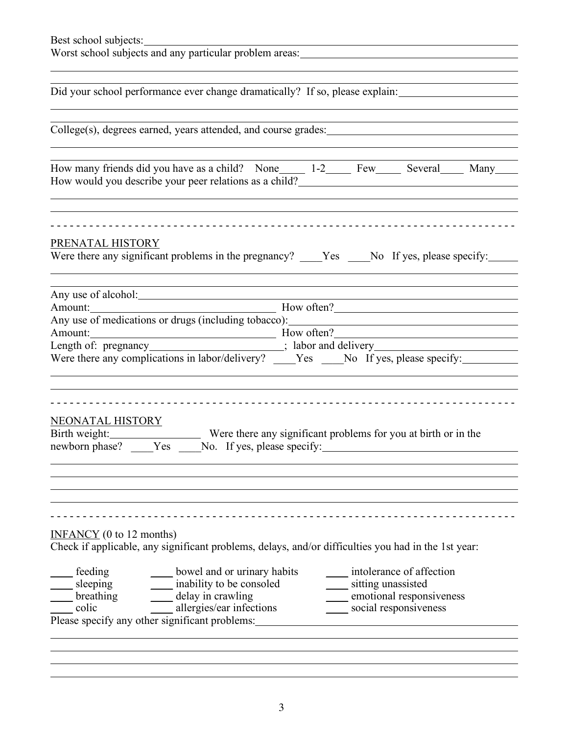| Best school subjects:<br>Worst school subjects and any particular problem areas: _________________________                                                                                                                                                                                                                                                                                                                                                                                                         |
|--------------------------------------------------------------------------------------------------------------------------------------------------------------------------------------------------------------------------------------------------------------------------------------------------------------------------------------------------------------------------------------------------------------------------------------------------------------------------------------------------------------------|
|                                                                                                                                                                                                                                                                                                                                                                                                                                                                                                                    |
| Did your school performance ever change dramatically? If so, please explain:                                                                                                                                                                                                                                                                                                                                                                                                                                       |
| College(s), degrees earned, years attended, and course grades:                                                                                                                                                                                                                                                                                                                                                                                                                                                     |
| How many friends did you have as a child? None_______ 1-2________ Few_______ Several_______ Many_____<br>,我们也不会有什么。""我们的人,我们也不会有什么?""我们的人,我们也不会有什么?""我们的人,我们也不会有什么?""我们的人,我们也不会有什么?""我们的人                                                                                                                                                                                                                                                                                                                          |
| PRENATAL HISTORY<br>Were there any significant problems in the pregnancy? ____Yes ____No If yes, please specify: _____                                                                                                                                                                                                                                                                                                                                                                                             |
| Any use of alcohol: <u>contract the contract of a</u><br>$\frac{1}{2}$ How often?<br>Amount:<br>Any use of medications or drugs (including tobacco):<br>Amount: How often?<br>Length of: pregnancy<br>Length of: $\frac{1}{2}$ regnancy<br>$\frac{1}{2}$ and delivery<br>$\frac{1}{2}$ and delivery<br>Many House specify:<br>Were there any complications in labor/delivery? ____Yes ____No If yes, please specify: ____________                                                                                  |
| <b>NEONATAL HISTORY</b><br>Birth weight: Were there any significant problems for you at birth or in the newborn phase? _____Yes _____No. If yes, please specify:                                                                                                                                                                                                                                                                                                                                                   |
| $INFANCY$ (0 to 12 months)<br>Check if applicable, any significant problems, delays, and/or difficulties you had in the 1st year:<br>bowel and or urinary habits<br>intolerance of affection<br>$\equiv$ feeding<br>inability to be consoled<br>sitting unassisted<br>$\Box$ sleeping<br>$\frac{\text{sleeping}}{\text{breathing}}$<br>delay in crawling<br>emotional responsiveness<br>____ allergies/ear infections<br>social responsiveness<br>$\equiv$ colic<br>Please specify any other significant problems: |
|                                                                                                                                                                                                                                                                                                                                                                                                                                                                                                                    |